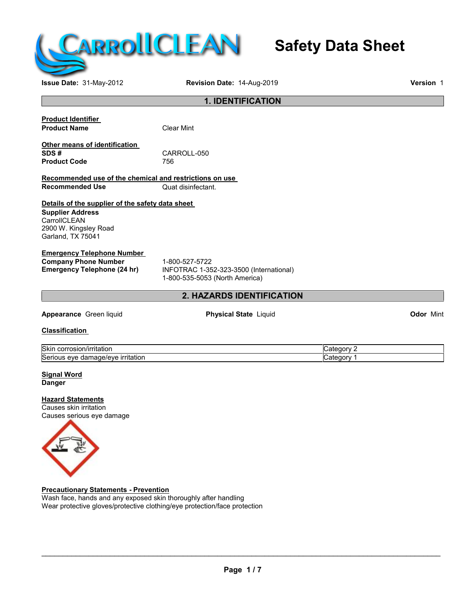

## **Safety Data Sheet**

**Issue Date:** 31-May-2012 **Revision Date:** 14-Aug-2019 **Version** 1

#### **1. IDENTIFICATION**

| <b>Product Identifier</b> |  |
|---------------------------|--|
| <b>Product Name</b>       |  |

**Clear Mint** 

**Other means of identification Product Code** 

CARROLL-050<br>756

**Recommended use of the chemical and restrictions on use Recommended Use** 

### **Details of the supplier of the safety data sheet**

**Supplier Address CarrollCLEAN** 2900 W. Kingsley Road Garland, TX 75041

#### **Emergency Telephone Number**

**Company Phone Number** 1-800-527-5722<br> **Emergency Telephone (24 hr)** INFOTRAC 1-35

**Emergency Telephone (24 hr)** INFOTRAC 1-352-323-3500 (International) 1-800-535-5053 (North America)

#### **2. HAZARDS IDENTIFICATION**

**Appearance** Green liquid **Physical State** Liquid **Odor** Mint

**Classification**

| <b>Skir</b><br>. .<br>πaτιοι<br>и н<br>.             | ---- |
|------------------------------------------------------|------|
| <b>Sen</b><br>eve<br>πaτιοι<br>11 I C<br>- 11∼<br>Шa |      |

**Signal Word Danger**

#### **Hazard Statements**

Causes skin irritation Causes serious eye damage



**Precautionary Statements - Prevention**

Wash face, hands and any exposed skin thoroughly after handling Wear protective gloves/protective clothing/eye protection/face protection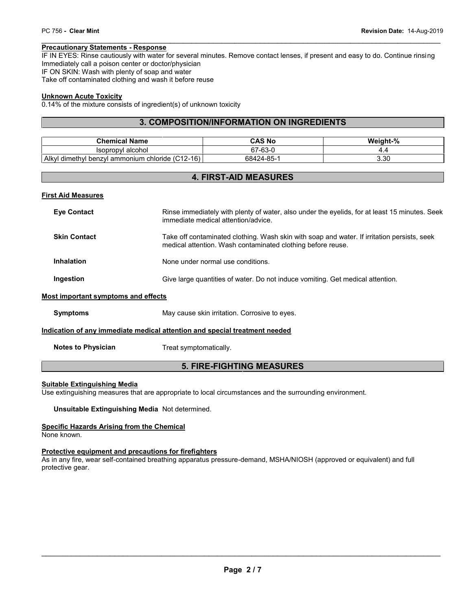PC 756 - Clear Mint<br> **Precautionary Statements - Response**<br>IF IN EYES: Rinse cautiously with water for several minutes. Remove contact lenses, if present and easy to do. Continue rinsing<br>Immediately call a poison center or PC 756 - Clear Mint<br> **Precautionary Statements - Response**<br>
IF IN EYES: Rinse cautiously with water for several minutes.<br>
Immediately call a poison center or doctor/physician<br>
IF ON SKIN: Wash with plenty of soap and water IF ON SKIN: Wash with plenty of soap and water Take off contaminated clothing and wash it before reuse

#### **Unknown Acute Toxicity**

0.14% of the mixture consists of ingredient(s) of unknown toxicity

#### **3. COMPOSITION/INFORMATION ON INGREDIENTS**

| <b>Chemical Name</b>                                            | CAS No     | Weight-% |
|-----------------------------------------------------------------|------------|----------|
| Isopropyl alcohol                                               | 67-63-0    |          |
| n chloride $(C12-16)$<br>Alkvl<br>dimethyl<br>l benzvl ammonium | 68424-85-1 | 3.30     |

#### **4. FIRST-AID MEASURES**

#### **First Aid Measures**

| <b>Eye Contact</b>                                                         | Rinse immediately with plenty of water, also under the eyelids, for at least 15 minutes. Seek<br>immediate medical attention/advice.                       |  |  |
|----------------------------------------------------------------------------|------------------------------------------------------------------------------------------------------------------------------------------------------------|--|--|
| <b>Skin Contact</b>                                                        | Take off contaminated clothing. Wash skin with soap and water. If irritation persists, seek<br>medical attention. Wash contaminated clothing before reuse. |  |  |
| <b>Inhalation</b>                                                          | None under normal use conditions.                                                                                                                          |  |  |
| Ingestion                                                                  | Give large quantities of water. Do not induce vomiting. Get medical attention.                                                                             |  |  |
| <b>Most important symptoms and effects</b>                                 |                                                                                                                                                            |  |  |
| <b>Symptoms</b>                                                            | May cause skin irritation. Corrosive to eyes.                                                                                                              |  |  |
| Indication of any immediate medical attention and special treatment needed |                                                                                                                                                            |  |  |
| <b>Notes to Physician</b>                                                  | Treat symptomatically.                                                                                                                                     |  |  |
| <b>5. FIRE-FIGHTING MEASURES</b>                                           |                                                                                                                                                            |  |  |

#### **Suitable Extinguishing Media**

Use extinguishing measures that are appropriate to local circumstances and the surrounding environment.

**Unsuitable Extinguishing Media** Not determined.

#### **Specific Hazards Arising from the Chemical**

None known.

#### **Protective equipment and precautions for firefighters**

As in any fire, wear self-contained breathing apparatus pressure-demand, MSHA/NIOSH (approved or equivalent) and full protective gear.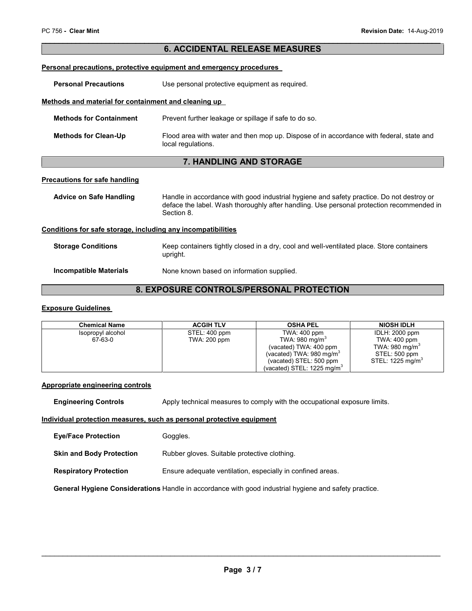#### **6. ACCIDENTAL RELEASE MEASURES**

#### **Personal precautions, protective equipment and emergency procedures**

**Personal Precautions** Use personal protective equipment as required.

#### **Methods and material for containment and cleaning up**

| <b>Methods for Containment</b> | Prevent further leakage or spillage if safe to do so.                                                         |
|--------------------------------|---------------------------------------------------------------------------------------------------------------|
| <b>Methods for Clean-Up</b>    | Flood area with water and then mop up. Dispose of in accordance with federal, state and<br>local regulations. |

#### **7. HANDLING AND STORAGE**

#### **Precautions for safe handling**

Advice on Safe Handling **Handle** in accordance with good industrial hygiene and safety practice. Do not destroy or deface the label. Wash thoroughly after handling. Use personal protection recommended in Section 8.

#### **Conditions for safe storage, including any incompatibilities**

| <b>Storage Conditions</b> | Keep containers tightly closed in a dry, cool and well-ventilated place. Store containers<br>upright. |
|---------------------------|-------------------------------------------------------------------------------------------------------|
| Incompatible Materials    | None known based on information supplied.                                                             |

#### **8. EXPOSURE CONTROLS/PERSONAL PROTECTION**

#### **Exposure Guidelines**

| <b>Chemical Name</b> | <b>ACGIH TLV</b> | <b>OSHA PEL</b>                        | <b>NIOSH IDLH</b>            |
|----------------------|------------------|----------------------------------------|------------------------------|
| Isopropyl alcohol    | STEL: 400 ppm    | TWA: 400 ppm                           | IDLH: 2000 ppm               |
| 67-63-0              | TWA: 200 ppm     | TWA: 980 mg/m <sup>3</sup>             | TWA: 400 ppm                 |
|                      |                  | (vacated) TWA: 400 ppm                 | TWA: 980 mg/m <sup>3</sup>   |
|                      |                  | (vacated) TWA: 980 mg/m <sup>3</sup>   | STEL: 500 ppm                |
|                      |                  | (vacated) STEL: 500 ppm                | STEL: 1225 mg/m <sup>3</sup> |
|                      |                  | (vacated) STEL: 1225 mg/m <sup>3</sup> |                              |

#### **Appropriate engineering controls**

**Engineering Controls** Apply technical measures to comply with the occupational exposure limits.

#### **Individual protection measures, such as personal protective equipment**

| <b>Eve/Face Protection</b>      | Goggles.                                                   |
|---------------------------------|------------------------------------------------------------|
| <b>Skin and Body Protection</b> | Rubber gloves. Suitable protective clothing.               |
| <b>Respiratory Protection</b>   | Ensure adequate ventilation, especially in confined areas. |

**General Hygiene Considerations** Handle in accordance with good industrial hygiene and safety practice.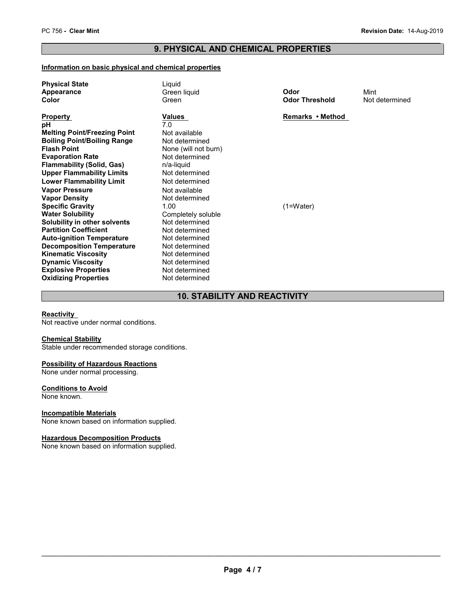# PC 756 - Clear Mint<br> **Revision Date:** 14-Aug-2019<br> **PRODUCED AND CULTURAL PROPERTIES 9. PHYSICAL AND CHEMICAL PROPERTIES**

#### **Information on basic physical and chemical properties**

| <b>Physical State</b><br><b>Appearance</b><br>Color | Liquid<br>Green liquid<br>Green | Odor<br><b>Odor Threshold</b> | Mint<br>Not determined |
|-----------------------------------------------------|---------------------------------|-------------------------------|------------------------|
| <b>Property</b>                                     | Values                          | Remarks • Method              |                        |
| рH                                                  | 7.0                             |                               |                        |
| <b>Melting Point/Freezing Point</b>                 | Not available                   |                               |                        |
| <b>Boiling Point/Boiling Range</b>                  | Not determined                  |                               |                        |
| <b>Flash Point</b>                                  | None (will not burn)            |                               |                        |
| <b>Evaporation Rate</b>                             | Not determined                  |                               |                        |
| <b>Flammability (Solid, Gas)</b>                    | n/a-liquid                      |                               |                        |
| <b>Upper Flammability Limits</b>                    | Not determined                  |                               |                        |
| <b>Lower Flammability Limit</b>                     | Not determined                  |                               |                        |
| <b>Vapor Pressure</b>                               | Not available                   |                               |                        |
| <b>Vapor Density</b>                                | Not determined                  |                               |                        |
| <b>Specific Gravity</b>                             | 1.00                            | $(1=Water)$                   |                        |
| <b>Water Solubility</b>                             | Completely soluble              |                               |                        |
| Solubility in other solvents                        | Not determined                  |                               |                        |
| <b>Partition Coefficient</b>                        | Not determined                  |                               |                        |
| <b>Auto-ignition Temperature</b>                    | Not determined                  |                               |                        |
| <b>Decomposition Temperature</b>                    | Not determined                  |                               |                        |
| <b>Kinematic Viscosity</b>                          | Not determined                  |                               |                        |
| <b>Dynamic Viscosity</b>                            | Not determined                  |                               |                        |
| <b>Explosive Properties</b>                         | Not determined                  |                               |                        |
| <b>Oxidizing Properties</b>                         | Not determined                  |                               |                        |

#### **10. STABILITY AND REACTIVITY**

#### **Reactivity**

Not reactive under normal conditions.

#### **Chemical Stability**

Stable under recommended storage conditions.

#### **Possibility of Hazardous Reactions**

None under normal processing.

#### **Conditions to Avoid**

None known.

#### **Incompatible Materials**

None known based on information supplied.

#### **Hazardous Decomposition Products**

None known based on information supplied.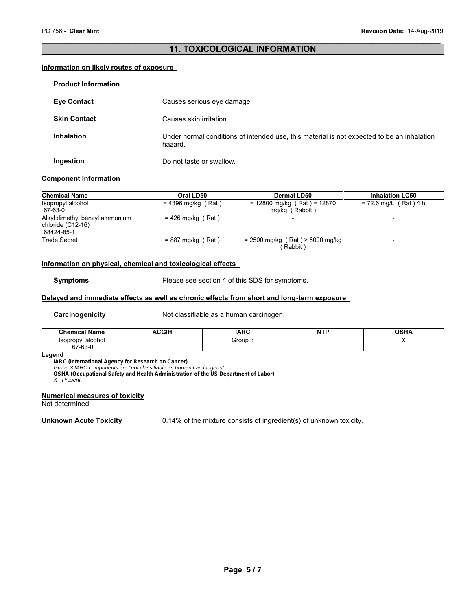#### **11. TOXICOLOGICAL INFORMATION**

#### **Information on likely routes of exposure**

| <b>Product Information</b> |                                                                                                       |
|----------------------------|-------------------------------------------------------------------------------------------------------|
| <b>Eye Contact</b>         | Causes serious eye damage.                                                                            |
| <b>Skin Contact</b>        | Causes skin irritation.                                                                               |
| <b>Inhalation</b>          | Under normal conditions of intended use, this material is not expected to be an inhalation<br>hazard. |
| Ingestion                  | Do not taste or swallow.                                                                              |

#### **Component Information**

| <b>Chemical Name</b>                                              | Oral LD50            | Dermal LD50                                     | <b>Inhalation LC50</b>  |
|-------------------------------------------------------------------|----------------------|-------------------------------------------------|-------------------------|
| Isopropyl alcohol<br>67-63-0                                      | $= 4396$ mg/kg (Rat) | $= 12800$ mg/kg (Rat) = 12870<br>mg/kg (Rabbit) | $= 72.6$ mg/L (Rat) 4 h |
| Alkyl dimethyl benzyl ammonium<br>chloride (C12-16)<br>68424-85-1 | $= 426$ mg/kg (Rat)  |                                                 |                         |
| <b>Trade Secret</b>                                               | $= 887$ mg/kg (Rat)  | $= 2500$ mg/kg (Rat) > 5000 mg/kg<br>Rabbit     |                         |

#### **Information on physical, chemical and toxicological effects**

**Symptoms** Please see section 4 of this SDS for symptoms.

#### **Delayed and immediate effects as well as chronic effects from short and long-term exposure**

**Carcinogenicity** Not classifiable as a human carcinogen.

| <b>Chemical Name</b>      | <b>שומי</b><br>л.<br>יוטכ<br>∼ | <b>IARC</b> | <b>NTP</b> | <b>OCUL</b><br>ארוכא |
|---------------------------|--------------------------------|-------------|------------|----------------------|
| alcohol<br><b>SODFODV</b> |                                | Group 3     |            |                      |
| 67-63-0                   |                                |             |            |                      |

#### **Legend**

*IARC (International Agency for Research on Cancer)*

*Group 3 IARC components are "not classifiable as human carcinogens"*

*OSHA (Occupational Safety and Health Administration of the US Department of Labor)*

*X - Present*

#### **Numerical measures of toxicity**

Not determined

**Unknown Acute Toxicity** 0.14% of the mixture consists of ingredient(s) of unknown toxicity.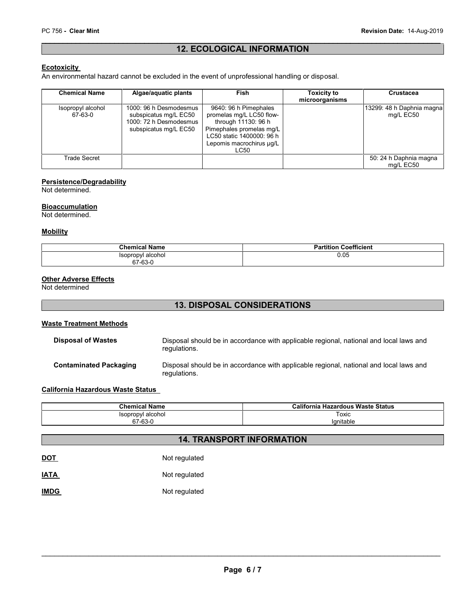#### **12. ECOLOGICAL INFORMATION**

#### **Ecotoxicity**

An environmental hazard cannot be excluded in the event of unprofessional handling or disposal.

| <b>Chemical Name</b>         | Algae/aquatic plants                                                                               | <b>Fish</b>                                                                                                                                                           | <b>Toxicity to</b><br>microorganisms | <b>Crustacea</b>                       |
|------------------------------|----------------------------------------------------------------------------------------------------|-----------------------------------------------------------------------------------------------------------------------------------------------------------------------|--------------------------------------|----------------------------------------|
| Isopropyl alcohol<br>67-63-0 | 1000: 96 h Desmodesmus<br>subspicatus mg/L EC50<br>1000: 72 h Desmodesmus<br>subspicatus mg/L EC50 | 9640: 96 h Pimephales<br>promelas mg/L LC50 flow-<br>through 11130: 96 h<br>Pimephales promelas mg/L<br>LC50 static 1400000: 96 h<br>Lepomis macrochirus µq/L<br>LC50 |                                      | 13299: 48 h Daphnia magna<br>mg/L EC50 |
| Trade Secret                 |                                                                                                    |                                                                                                                                                                       |                                      | 50: 24 h Daphnia magna<br>ma/L EC50    |

#### **Persistence/Degradability**

Not determined.

#### **Bioaccumulation**

Not determined.

#### **Mobility**

| <b>Chemical Name</b> | <b>Partition Coefficient</b><br>הכ |
|----------------------|------------------------------------|
| Isopropyl alcohol    | 0.05                               |
| 67-63-0              |                                    |

#### **Other Adverse Effects**

Not determined

#### **13. DISPOSAL CONSIDERATIONS**

#### **Waste Treatment Methods**

| <b>Disposal of Wastes</b>     | Disposal should be in accordance with applicable regional, national and local laws and<br>regulations. |
|-------------------------------|--------------------------------------------------------------------------------------------------------|
| <b>Contaminated Packaging</b> | Disposal should be in accordance with applicable regional, national and local laws and<br>regulations. |

#### **California Hazardous Waste Status**

| <b>Chemical Name</b> | <b>California Hazardous Waste Status</b> |
|----------------------|------------------------------------------|
| Isopropyl alcohol    | Toxic<br>____                            |
| 67-63-0<br>$\sim$    | 'anitable                                |

## **14. TRANSPORT INFORMATION**

| <b>DOT</b>  | Not regulated |
|-------------|---------------|
| <b>IATA</b> | Not regulated |

#### **IMDG** Not regulated